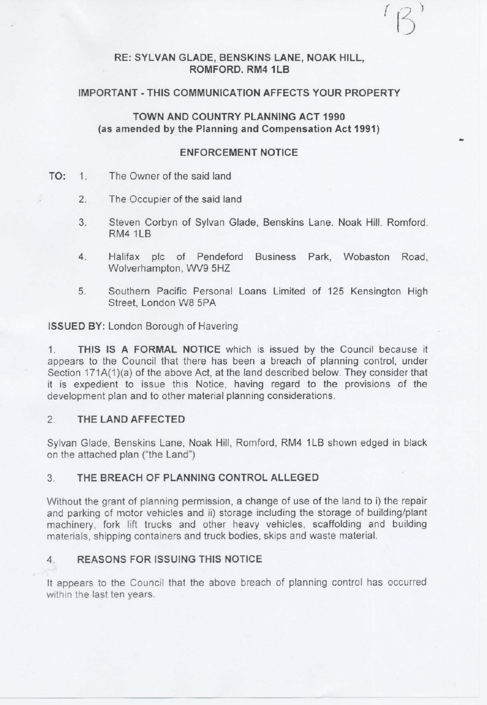## **RE: SYLVAN GLADE, BENSKINS LANE, NOAK HILL, ROMFORD. RM4 1 LB**

### **IMPORTANT - THIS COMMUNICATION AFFECTS YOUR PROPERTY**

# **TOWN AND COUNTRY PLANNING ACT 1990**  (as **amended by the Planning and Compensation Act 1991)**

## **ENFORCEMENT NOTICE**

...

- **TO:** 1. The Owner of the said land
	- 2. The Occupier of the said land
	- 3. Steven Corbyn of Sylvan Glade, Benskins Lane. Noak Hill. Romford. RM41LB
	- 4. Halifax plc of Pendeford Business Park, Wobaston Road, Wolverhampton, WV9 5HZ
	- 5. Southern Pacific Personal Loans Limited of 125 Kensington High Street, London W8 5PA

**ISSUED BY:** London Borough of Havering

1. **THIS IS A FORMAL NOTICE** which is issued by the Council because it appears to the Council that there has been a breach of planning control, under Section 171A(1)(a) of the above Act, at the land described below. They consider that it is expedient to issue this Notice, having regard to the provisions of the development plan and to other material planning considerations.

### 2. **THE LAND AFFECTED**

Sylvan Glade, Benskins Lane, Noak Hill, Romford, RM4 1LB shown edged in black on the attached plan ("the Land")

### 3. **THE BREACH OF PLANNING CONTROL ALLEGED**

Without the grant of planning permission, a change of use of the land to i) the repair and parking of motor vehicles and ii) storage including the storage of building/plant machinery, fork lift trucks and other heavy vehicles, scaffolding and building materials, shipping containers and truck bodies, skips and waste material.

### 4. **REASONS FOR ISSUING THIS NOTICE**

It appears to the Council that the above breach of planning control has occurred within the last ten years.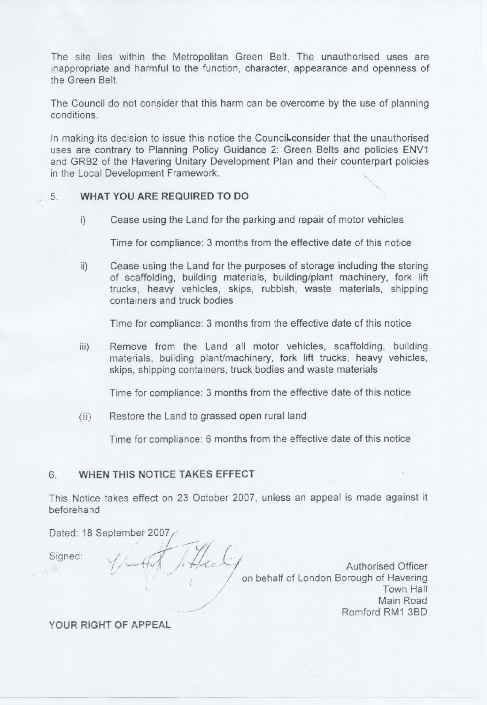The site lies within the Metropolitan Green Belt. The unauthorised uses are inappropriate and harmful to the function, character, appearance and openness of the Green Belt.

The Council do not consider that this harm can be overcome by the use of planning conditions.

In making its decision to issue this notice the Council consider that the unauthorised uses are contrary to Planning Policy Guidance 2: Green Belts and policies ENV1 and GRB2 of the Havering Unitary Development Plan and their counterpart policies in the Local Development Framework.

### 5. WHAT YOU ARE REQUIRED TO DO

i) Cease using the Land for the parking and repair of motor vehicles

Time for compliance: 3 months from the effective date of this notice

ii) Cease using the Land for the purposes of storage including the storing of scaffolding, building materials, building/plant machinery, fork lift trucks, heavy vehicles, skips, rubbish, waste materials, shipping containers and truck bodies

Time for compliance: 3 months from the effective date of this notice

iii) Remove from the Land all motor vehicles, scaffolding, building materials, building plant/machinery, fork lift trucks, heavy vehicles, skips, shipping containers, truck bodies and waste materials

Time for compliance: 3 months from the effective date of this notice

(ii) Restore the Land to grassed open rural land

Time for compliance: 6 months from the effective date of this notice

## **6. WHEN THIS NOTICE TAKES EFFECT**

This Notice takes effect on 23 October 2007, unless an appeal is made against it beforehand

Dated: 18 September 2007, *.•* a· *-vl\_ [* ,

Signed:

<sup>I</sup>/ ..---:;, <sup>~</sup>1- */I-<.. e /* 1 Authorised Officer Authorised Officer<br>on behalf of London Borough of Havering */* Town Hall Main Road Romford RM1 3BD

YOUR RIGHT OF APPEAL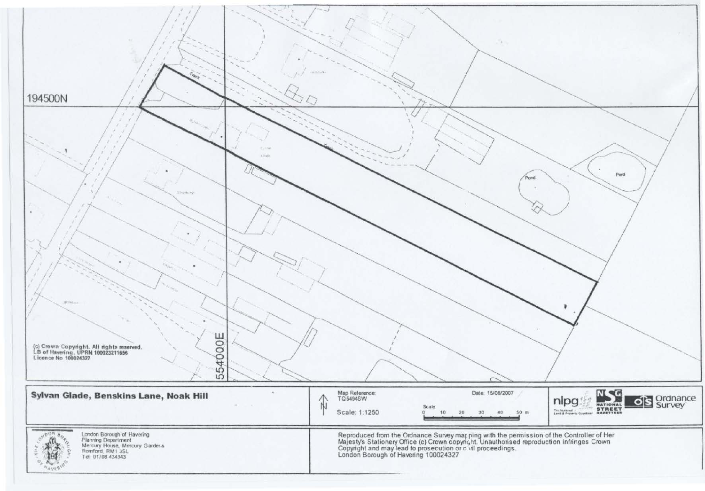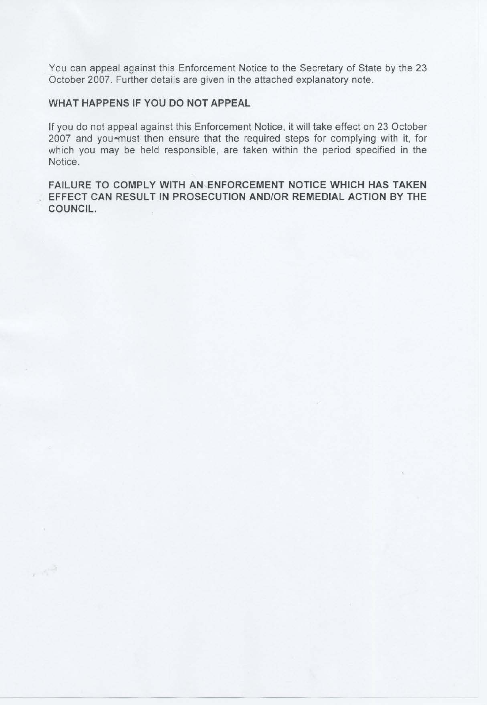You can appeal against this Enforcement Notice to the Secretary of State by the 23 October 2007. Further details are given in the attached explanatory note.

## **WHAT HAPPENS IF YOU DO NOT APPEAL**

 $\sim 10^{12}$ 

If you do not appeal against this Enforcement Notice, it will take effect on 23 October 2007 and you-must then ensure that the required steps for complying with it, for which you may be held responsible, are taken within the period specified in the Notice.

**FAILURE TO COMPLY WITH AN ENFORCEMENT NOTICE WHICH HAS TAKEN EFFECT CAN RESULT IN PROSECUTION AND/OR REMEDIAL ACTION BY THE COUNCIL.**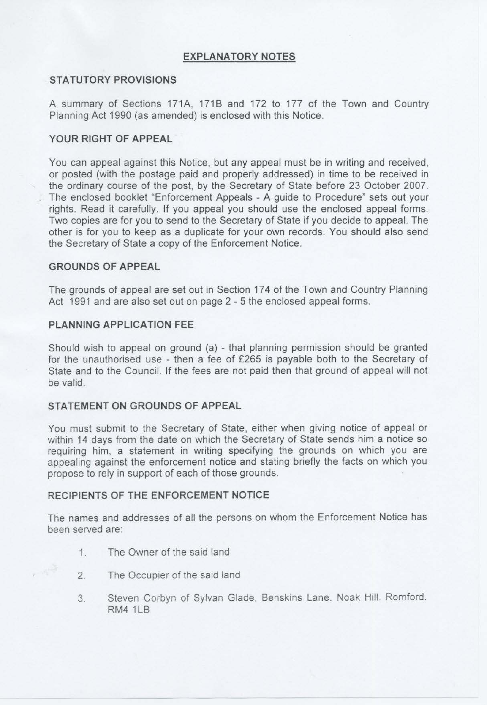## **EXPLANATORY NOTES**

## **STATUTORY PROVISIONS**

A summary of Sections 171A, 1718 and 172 to 177 of the Town and Country Planning Act 1990 (as amended) is enclosed with this Notice.

## **YOUR RIGHT OF APPEAL**

You can appeal against this Notice, but any appeal must be in writing and received, or posted (with the postage paid and properly addressed) in time to be received in the ordinary course of the post, by the Secretary of State before 23 October 2007. The enclosed booklet "Enforcement Appeals - A guide to Procedure" sets out your rights. Read it carefully. If you appeal you should use the enclosed appeal forms. Two copies are for you to send to the Secretary of State if you decide to appeal. The other is for you to keep as a duplicate for your own records. You should also send the Secretary of State a copy of the Enforcement Notice.

### **GROUNDS OF APPEAL**

The grounds of appeal are set out in Section 174 of the Town and Country Planning Act 1991 and are also set out on page 2 - 5 the enclosed appeal forms.

## **PLANNING APPLICATION FEE**

Should wish to appeal on ground (a) - that planning permission should be granted for the unauthorised use - then a fee of £265 is payable both to the Secretary of State and to the Council. If the fees are not paid then that ground of appeal will not be valid.

### **STATEMENT ON GROUNDS OF APPEAL**

You must submit to the Secretary of State, either when giving notice of appeal or within 14 days from the date on which the Secretary of State sends him a notice so requiring him, a statement in writing specifying the grounds on which you are appealing against the enforcement notice and stating briefly the facts on which you propose to rely in support of each of those grounds.

## **RECIPIENTS OF THE ENFORCEMENT NOTICE**

The names and addresses of all the persons on whom the Enforcement Notice has been served are:

- 1. The Owner of the said land
- 2. The Occupier of the said land
- 3. Steven Corbyn of Sylvan Glade, Benskins Lane. Noak Hill. Romford. RM4 1LB